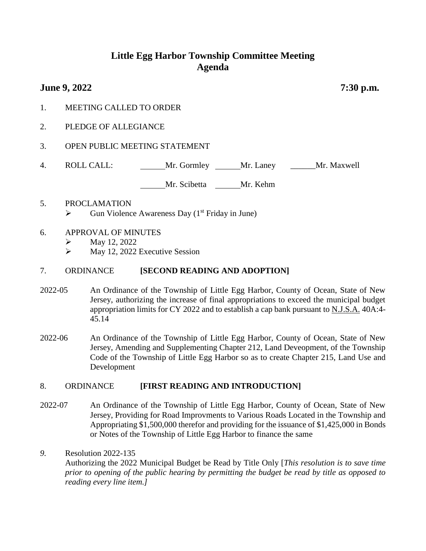# **Little Egg Harbor Township Committee Meeting Agenda**

# **June 9, 2022 7:30 p.m.**

- 1. MEETING CALLED TO ORDER
- 2. PLEDGE OF ALLEGIANCE
- 3. OPEN PUBLIC MEETING STATEMENT
- 4. ROLL CALL: Mr. Gormley Mr. Laney Mr. Maxwell

Mr. Scibetta Mr. Kehm

5. PROCLAMATION  $\triangleright$  Gun Violence Awareness Day (1<sup>st</sup> Friday in June)

#### 6. APPROVAL OF MINUTES

- $\triangleright$  May 12, 2022
- $\triangleright$  May 12, 2022 Executive Session

#### 7. ORDINANCE **[SECOND READING AND ADOPTION]**

- 2022-05 An Ordinance of the Township of Little Egg Harbor, County of Ocean, State of New Jersey, authorizing the increase of final appropriations to exceed the municipal budget appropriation limits for CY 2022 and to establish a cap bank pursuant to N.J.S.A. 40A:4- 45.14
- 2022-06 An Ordinance of the Township of Little Egg Harbor, County of Ocean, State of New Jersey, Amending and Supplementing Chapter 212, Land Deveopment, of the Township Code of the Township of Little Egg Harbor so as to create Chapter 215, Land Use and Development

#### 8. ORDINANCE **[FIRST READING AND INTRODUCTION]**

2022-07 An Ordinance of the Township of Little Egg Harbor, County of Ocean, State of New Jersey, Providing for Road Improvments to Various Roads Located in the Township and Appropriating \$1,500,000 therefor and providing for the issuance of \$1,425,000 in Bonds or Notes of the Township of Little Egg Harbor to finance the same

#### *9.* Resolution 2022-135

Authorizing the 2022 Municipal Budget be Read by Title Only [*This resolution is to save time prior to opening of the public hearing by permitting the budget be read by title as opposed to reading every line item.]*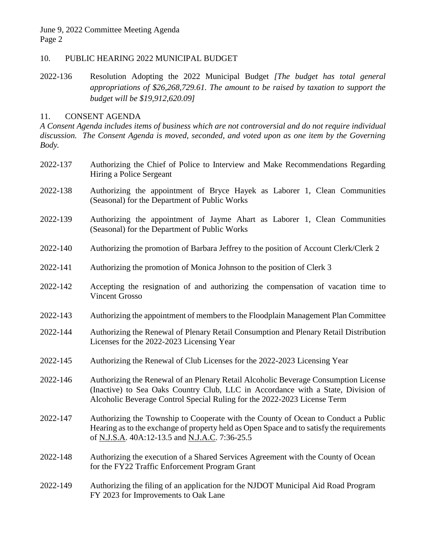June 9, 2022 Committee Meeting Agenda Page 2

## 10. PUBLIC HEARING 2022 MUNICIPAL BUDGET

2022-136 Resolution Adopting the 2022 Municipal Budget *[The budget has total general appropriations of \$26,268,729.61. The amount to be raised by taxation to support the budget will be \$19,912,620.09]*

## 11. CONSENT AGENDA

*A Consent Agenda includes items of business which are not controversial and do not require individual discussion. The Consent Agenda is moved, seconded, and voted upon as one item by the Governing Body.*

- 2022-137 Authorizing the Chief of Police to Interview and Make Recommendations Regarding Hiring a Police Sergeant
- 2022-138 Authorizing the appointment of Bryce Hayek as Laborer 1, Clean Communities (Seasonal) for the Department of Public Works
- 2022-139 Authorizing the appointment of Jayme Ahart as Laborer 1, Clean Communities (Seasonal) for the Department of Public Works
- 2022-140 Authorizing the promotion of Barbara Jeffrey to the position of Account Clerk/Clerk 2
- 2022-141 Authorizing the promotion of Monica Johnson to the position of Clerk 3
- 2022-142 Accepting the resignation of and authorizing the compensation of vacation time to Vincent Grosso
- 2022-143 Authorizing the appointment of members to the Floodplain Management Plan Committee
- 2022-144 Authorizing the Renewal of Plenary Retail Consumption and Plenary Retail Distribution Licenses for the 2022-2023 Licensing Year
- 2022-145 Authorizing the Renewal of Club Licenses for the 2022-2023 Licensing Year
- 2022-146 Authorizing the Renewal of an Plenary Retail Alcoholic Beverage Consumption License (Inactive) to Sea Oaks Country Club, LLC in Accordance with a State, Division of Alcoholic Beverage Control Special Ruling for the 2022-2023 License Term
- 2022-147 Authorizing the Township to Cooperate with the County of Ocean to Conduct a Public Hearing as to the exchange of property held as Open Space and to satisfy the requirements of N.J.S.A. 40A:12-13.5 and N.J.A.C. 7:36-25.5
- 2022-148 Authorizing the execution of a Shared Services Agreement with the County of Ocean for the FY22 Traffic Enforcement Program Grant
- 2022-149 Authorizing the filing of an application for the NJDOT Municipal Aid Road Program FY 2023 for Improvements to Oak Lane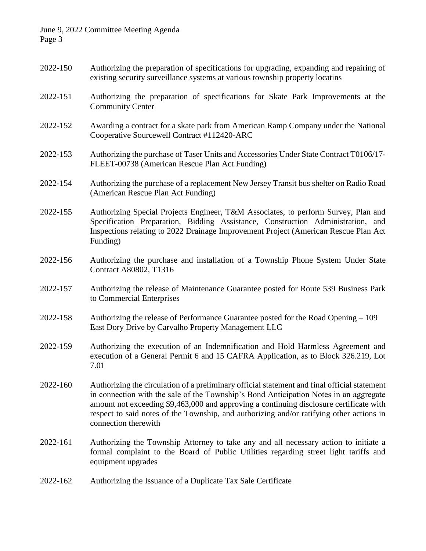#### June 9, 2022 Committee Meeting Agenda Page 3

- 2022-150 Authorizing the preparation of specifications for upgrading, expanding and repairing of existing security surveillance systems at various township property locatins
- 2022-151 Authorizing the preparation of specifications for Skate Park Improvements at the Community Center
- 2022-152 Awarding a contract for a skate park from American Ramp Company under the National Cooperative Sourcewell Contract #112420-ARC
- 2022-153 Authorizing the purchase of Taser Units and Accessories Under State Contract T0106/17- FLEET-00738 (American Rescue Plan Act Funding)
- 2022-154 Authorizing the purchase of a replacement New Jersey Transit bus shelter on Radio Road (American Rescue Plan Act Funding)
- 2022-155 Authorizing Special Projects Engineer, T&M Associates, to perform Survey, Plan and Specification Preparation, Bidding Assistance, Construction Administration, and Inspections relating to 2022 Drainage Improvement Project (American Rescue Plan Act Funding)
- 2022-156 Authorizing the purchase and installation of a Township Phone System Under State Contract A80802, T1316
- 2022-157 Authorizing the release of Maintenance Guarantee posted for Route 539 Business Park to Commercial Enterprises
- 2022-158 Authorizing the release of Performance Guarantee posted for the Road Opening 109 East Dory Drive by Carvalho Property Management LLC
- 2022-159 Authorizing the execution of an Indemnification and Hold Harmless Agreement and execution of a General Permit 6 and 15 CAFRA Application, as to Block 326.219, Lot 7.01
- 2022-160 Authorizing the circulation of a preliminary official statement and final official statement in connection with the sale of the Township's Bond Anticipation Notes in an aggregate amount not exceeding \$9,463,000 and approving a continuing disclosure certificate with respect to said notes of the Township, and authorizing and/or ratifying other actions in connection therewith
- 2022-161 Authorizing the Township Attorney to take any and all necessary action to initiate a formal complaint to the Board of Public Utilities regarding street light tariffs and equipment upgrades
- 2022-162 Authorizing the Issuance of a Duplicate Tax Sale Certificate